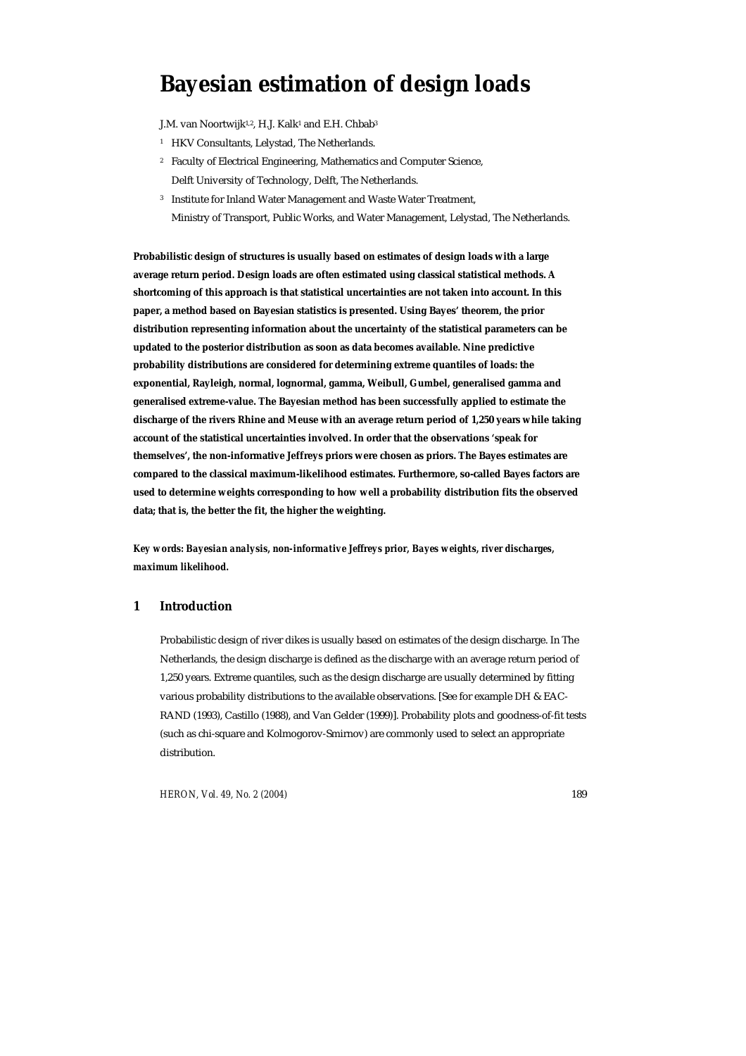# **Bayesian estimation of design loads**

J.M. van Noortwijk<sup>1,2</sup>, H.J. Kalk<sup>1</sup> and E.H. Chbab<sup>3</sup>

- <sup>1</sup> HKV Consultants, Lelystad, The Netherlands.
- 2 Faculty of Electrical Engineering, Mathematics and Computer Science, Delft University of Technology, Delft, The Netherlands.
- 3 Institute for Inland Water Management and Waste Water Treatment, Ministry of Transport, Public Works, and Water Management, Lelystad, The Netherlands.

**Probabilistic design of structures is usually based on estimates of design loads with a large average return period. Design loads are often estimated using classical statistical methods. A shortcoming of this approach is that statistical uncertainties are not taken into account. In this paper, a method based on Bayesian statistics is presented. Using Bayes' theorem, the prior distribution representing information about the uncertainty of the statistical parameters can be updated to the posterior distribution as soon as data becomes available. Nine predictive probability distributions are considered for determining extreme quantiles of loads: the exponential, Rayleigh, normal, lognormal, gamma, Weibull, Gumbel, generalised gamma and generalised extreme-value. The Bayesian method has been successfully applied to estimate the discharge of the rivers Rhine and Meuse with an average return period of 1,250 years while taking account of the statistical uncertainties involved. In order that the observations 'speak for themselves', the non-informative Jeffreys priors were chosen as priors. The Bayes estimates are compared to the classical maximum-likelihood estimates. Furthermore, so-called Bayes factors are used to determine weights corresponding to how well a probability distribution fits the observed data; that is, the better the fit, the higher the weighting.** 

*Key words: Bayesian analysis, non-informative Jeffreys prior, Bayes weights, river discharges, maximum likelihood.* 

# **1 Introduction**

Probabilistic design of river dikes is usually based on estimates of the design discharge. In The Netherlands, the design discharge is defined as the discharge with an average return period of 1,250 years. Extreme quantiles, such as the design discharge are usually determined by fitting various probability distributions to the available observations. [See for example DH & EAC-RAND (1993), Castillo (1988), and Van Gelder (1999)]. Probability plots and goodness-of-fit tests (such as chi-square and Kolmogorov-Smirnov) are commonly used to select an appropriate distribution.

*HERON, Vol. 49, No. 2 (2004)* 189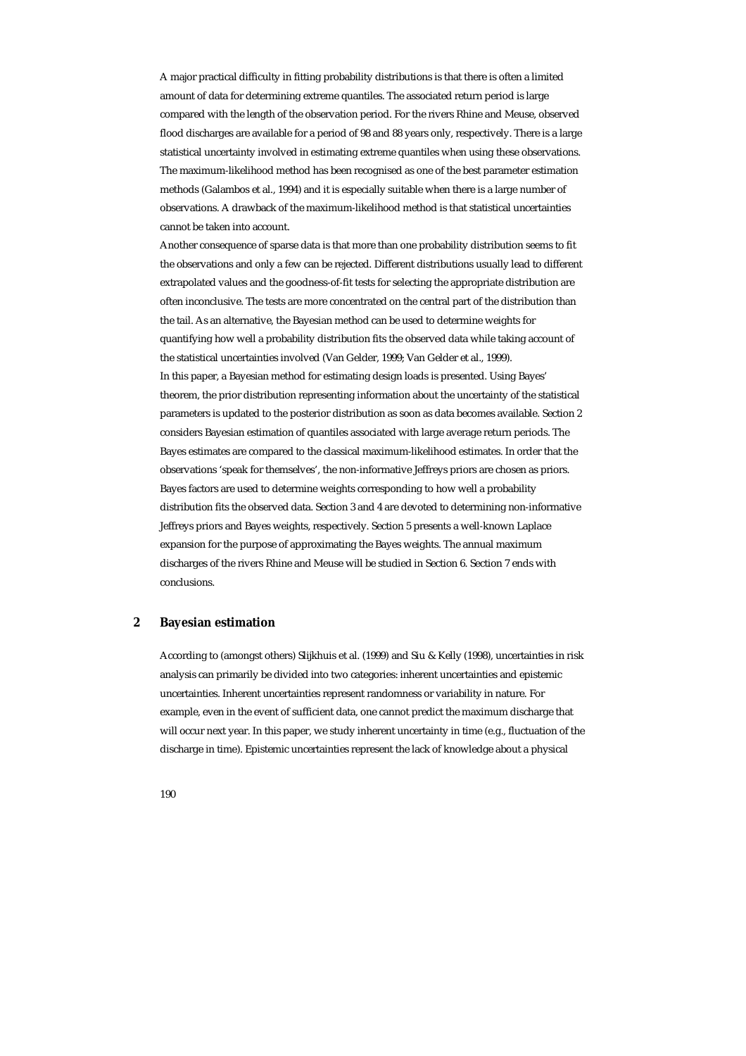A major practical difficulty in fitting probability distributions is that there is often a limited amount of data for determining extreme quantiles. The associated return period is large compared with the length of the observation period. For the rivers Rhine and Meuse, observed flood discharges are available for a period of 98 and 88 years only, respectively. There is a large statistical uncertainty involved in estimating extreme quantiles when using these observations. The maximum-likelihood method has been recognised as one of the best parameter estimation methods (Galambos et al., 1994) and it is especially suitable when there is a large number of observations. A drawback of the maximum-likelihood method is that statistical uncertainties cannot be taken into account.

Another consequence of sparse data is that more than one probability distribution seems to fit the observations and only a few can be rejected. Different distributions usually lead to different extrapolated values and the goodness-of-fit tests for selecting the appropriate distribution are often inconclusive. The tests are more concentrated on the central part of the distribution than the tail. As an alternative, the Bayesian method can be used to determine weights for quantifying how well a probability distribution fits the observed data while taking account of the statistical uncertainties involved (Van Gelder, 1999; Van Gelder et al., 1999). In this paper, a Bayesian method for estimating design loads is presented. Using Bayes' theorem, the prior distribution representing information about the uncertainty of the statistical parameters is updated to the posterior distribution as soon as data becomes available. Section 2 considers Bayesian estimation of quantiles associated with large average return periods. The Bayes estimates are compared to the classical maximum-likelihood estimates. In order that the observations 'speak for themselves', the non-informative Jeffreys priors are chosen as priors. Bayes factors are used to determine weights corresponding to how well a probability distribution fits the observed data. Section 3 and 4 are devoted to determining non-informative Jeffreys priors and Bayes weights, respectively. Section 5 presents a well-known Laplace expansion for the purpose of approximating the Bayes weights. The annual maximum discharges of the rivers Rhine and Meuse will be studied in Section 6. Section 7 ends with conclusions.

#### **2 Bayesian estimation**

According to (amongst others) Slijkhuis et al. (1999) and Siu & Kelly (1998), uncertainties in risk analysis can primarily be divided into two categories: inherent uncertainties and epistemic uncertainties. Inherent uncertainties represent randomness or variability in nature. For example, even in the event of sufficient data, one cannot predict the maximum discharge that will occur next year. In this paper, we study inherent uncertainty in time (e.g., fluctuation of the discharge in time). Epistemic uncertainties represent the lack of knowledge about a physical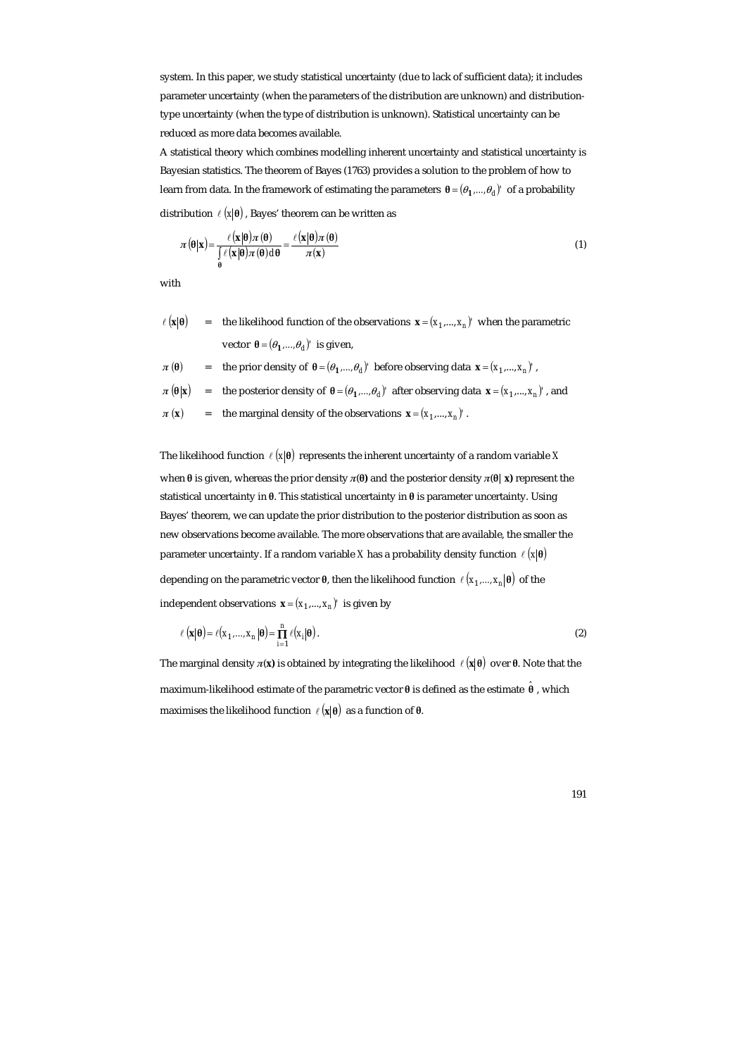system. In this paper, we study statistical uncertainty (due to lack of sufficient data); it includes parameter uncertainty (when the parameters of the distribution are unknown) and distributiontype uncertainty (when the type of distribution is unknown). Statistical uncertainty can be reduced as more data becomes available.

A statistical theory which combines modelling inherent uncertainty and statistical uncertainty is Bayesian statistics. The theorem of Bayes (1763) provides a solution to the problem of how to learn from data. In the framework of estimating the parameters  $\theta = (\theta_1, ..., \theta_d)$  of a probability distribution  $\ell ( x | \theta )$ , Bayes' theorem can be written as

$$
\pi(\theta|\mathbf{x}) = \frac{\ell(\mathbf{x}|\theta)\pi(\theta)}{\int_{\theta} \ell(\mathbf{x}|\theta)\pi(\theta)d\theta} = \frac{\ell(\mathbf{x}|\theta)\pi(\theta)}{\pi(\mathbf{x})}
$$
(1)

with

 $\ell$  ( $\mathbf{x}$ | $\theta$ ) = the likelihood function of the observations  $\mathbf{x} = (x_1, ..., x_n)$ ' when the parametric vector  $\theta = (\theta_1, ..., \theta_d)'$  is given,

$$
\pi(\theta)
$$
 = the prior density of  $\theta = (\theta_1, ..., \theta_d)$  before observing data  $\mathbf{x} = (x_1, ..., x_n)'$ ,

- $\pi(\theta|\mathbf{x})$  = the posterior density of  $\theta = (\theta_1, ..., \theta_d)'$  after observing data  $\mathbf{x} = (x_1, ..., x_n)'$ , and
- $\pi$  (**x**) = the marginal density of the observations  $\mathbf{x} = (x_1, ..., x_n)$ .

The likelihood function  $\ell (x | \theta)$  represents the inherent uncertainty of a random variable *X* when **θ** is given, whereas the prior density *π*(**θ)** and the posterior density *π*(**θ**|**x)** represent the statistical uncertainty in **θ**. This statistical uncertainty in **θ** is parameter uncertainty. Using Bayes' theorem, we can update the prior distribution to the posterior distribution as soon as new observations become available. The more observations that are available, the smaller the parameter uncertainty. If a random variable *X* has a probability density function  $\ell$  ( $\mathbf{x}$   $\mathbf{\theta}$ ) depending on the parametric vector **θ**, then the likelihood function  $\ell (x_1, ..., x_n | \theta)$  of the independent observations  $\mathbf{x} = (x_1, ..., x_n)$  is given by

$$
\ell(\mathbf{x}|\boldsymbol{\theta}) = \ell(x_1, ..., x_n|\boldsymbol{\theta}) = \prod_{i=1}^n \ell(x_i|\boldsymbol{\theta}).
$$
\n(2)

The marginal density  $π(x)$  is obtained by integrating the likelihood  $\ell(x|\theta)$  over  $θ$ . Note that the maximum-likelihood estimate of the parametric vector **θ** is defined as the estimate **θ** *ˆ* , which maximises the likelihood function  $\ell (\mathbf{x} | \boldsymbol{\theta})$  as a function of  $\boldsymbol{\theta}$ .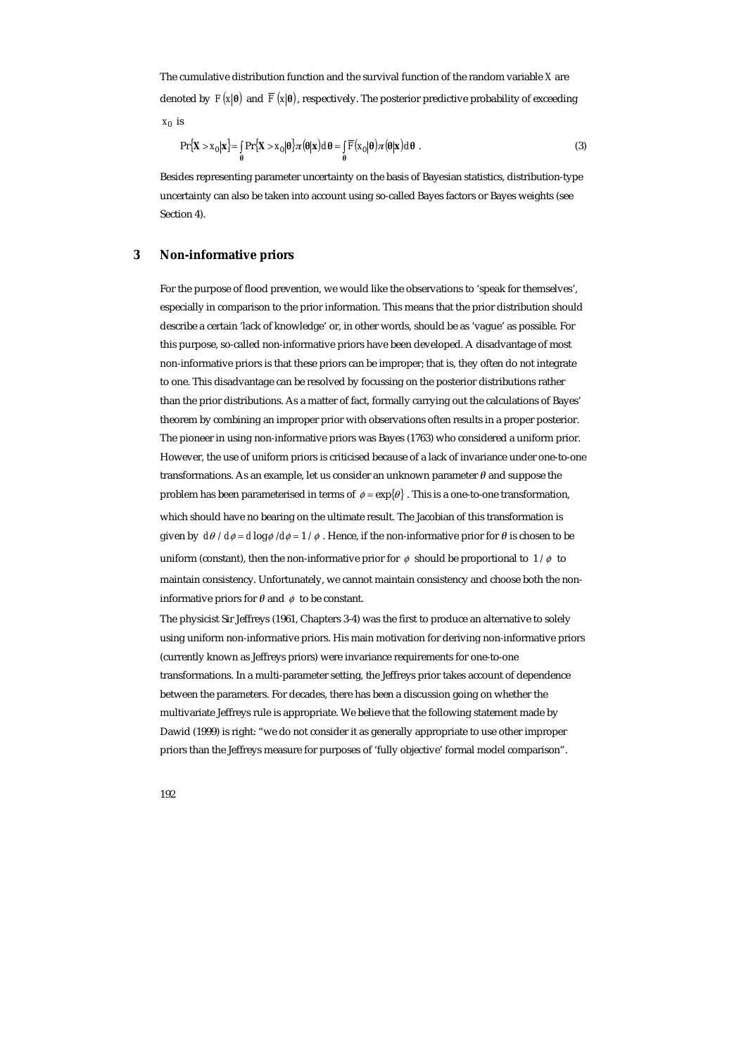The cumulative distribution function and the survival function of the random variable *X* are denoted by  $F(x|\theta)$  and  $\overline{F}(x|\theta)$ , respectively. The posterior predictive probability of exceeding  $x_0$  is

$$
\Pr\left\{\mathbf{X} > x_0 \middle| \mathbf{x}\right\} = \int_{\theta} \Pr\left\{\mathbf{X} > x_0 \middle| \theta\right\} \pi(\theta|\mathbf{x}) d\theta = \int_{\theta} \overline{F}(x_0|\theta) \pi(\theta|\mathbf{x}) d\theta \tag{3}
$$

Besides representing parameter uncertainty on the basis of Bayesian statistics, distribution-type uncertainty can also be taken into account using so-called Bayes factors or Bayes weights (see Section 4).

# **3 Non-informative priors**

For the purpose of flood prevention, we would like the observations to 'speak for themselves', especially in comparison to the prior information. This means that the prior distribution should describe a certain 'lack of knowledge' or, in other words, should be as 'vague' as possible. For this purpose, so-called non-informative priors have been developed. A disadvantage of most non-informative priors is that these priors can be improper; that is, they often do not integrate to one. This disadvantage can be resolved by focussing on the posterior distributions rather than the prior distributions. As a matter of fact, formally carrying out the calculations of Bayes' theorem by combining an improper prior with observations often results in a proper posterior. The pioneer in using non-informative priors was Bayes (1763) who considered a uniform prior. However, the use of uniform priors is criticised because of a lack of invariance under one-to-one transformations. As an example, let us consider an unknown parameter *θ* and suppose the problem has been parameterised in terms of  $\phi = \exp{\lbrace \theta \rbrace}$ . This is a one-to-one transformation, which should have no bearing on the ultimate result. The Jacobian of this transformation is given by  $d\theta / d\phi = d \log \phi / d\phi = 1 / \phi$ . Hence, if the non-informative prior for  $\theta$  is chosen to be uniform (constant), then the non-informative prior for  $\phi$  should be proportional to  $1/\phi$  to maintain consistency. Unfortunately, we cannot maintain consistency and choose both the noninformative priors for  $\theta$  and  $\phi$  to be constant.

The physicist Sir Jeffreys (1961, Chapters 3-4) was the first to produce an alternative to solely using uniform non-informative priors. His main motivation for deriving non-informative priors (currently known as Jeffreys priors) were invariance requirements for one-to-one transformations. In a multi-parameter setting, the Jeffreys prior takes account of dependence between the parameters. For decades, there has been a discussion going on whether the multivariate Jeffreys rule is appropriate. We believe that the following statement made by Dawid (1999) is right: "we do not consider it as generally appropriate to use other improper priors than the Jeffreys measure for purposes of 'fully objective' formal model comparison".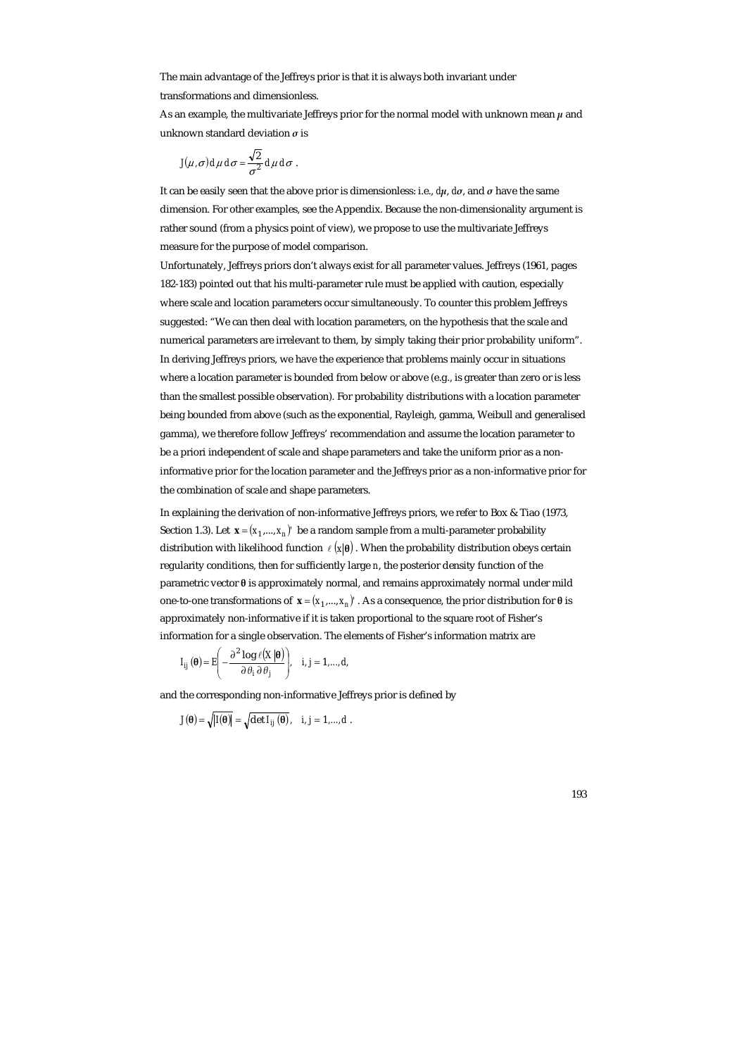The main advantage of the Jeffreys prior is that it is always both invariant under transformations and dimensionless.

As an example, the multivariate Jeffreys prior for the normal model with unknown mean  $\mu$  and unknown standard deviation *σ* is

$$
J(\mu,\sigma) d\mu d\sigma = \frac{\sqrt{2}}{\sigma^2} d\mu d\sigma.
$$

It can be easily seen that the above prior is dimensionless: i.e., *dµ*, *dσ*, and *σ* have the same dimension. For other examples, see the Appendix. Because the non-dimensionality argument is rather sound (from a physics point of view), we propose to use the multivariate Jeffreys measure for the purpose of model comparison.

Unfortunately, Jeffreys priors don't always exist for all parameter values. Jeffreys (1961, pages 182-183) pointed out that his multi-parameter rule must be applied with caution, especially where scale and location parameters occur simultaneously. To counter this problem Jeffreys suggested: "We can then deal with location parameters, on the hypothesis that the scale and numerical parameters are irrelevant to them, by simply taking their prior probability uniform". In deriving Jeffreys priors, we have the experience that problems mainly occur in situations where a location parameter is bounded from below or above (e.g., is greater than zero or is less than the smallest possible observation). For probability distributions with a location parameter being bounded from above (such as the exponential, Rayleigh, gamma, Weibull and generalised gamma), we therefore follow Jeffreys' recommendation and assume the location parameter to be a priori independent of scale and shape parameters and take the uniform prior as a noninformative prior for the location parameter and the Jeffreys prior as a non-informative prior for the combination of scale and shape parameters.

In explaining the derivation of non-informative Jeffreys priors, we refer to Box & Tiao (1973, Section 1.3). Let  $\mathbf{x} = (x_1, ..., x_n)'$  be a random sample from a multi-parameter probability distribution with likelihood function  $\ell ( x | \theta )$ . When the probability distribution obeys certain regularity conditions, then for sufficiently large *n*, the posterior density function of the parametric vector **θ** is approximately normal, and remains approximately normal under mild one-to-one transformations of  $\mathbf{x} = (x_1, ..., x_n)'$ . As a consequence, the prior distribution for θ is approximately non-informative if it is taken proportional to the square root of Fisher's information for a single observation. The elements of Fisher's information matrix are

$$
I_{ij}(\boldsymbol{\theta}) = E\left(-\frac{\partial^2 \log \ell(X|\boldsymbol{\theta})}{\partial \theta_i \partial \theta_j}\right), \quad i, j = 1,..., d,
$$

and the corresponding non-informative Jeffreys prior is defined by

$$
J(\theta) = \sqrt{|I(\theta)|} = \sqrt{\det I_{ij}(\theta)}, \quad i, j = 1, ..., d.
$$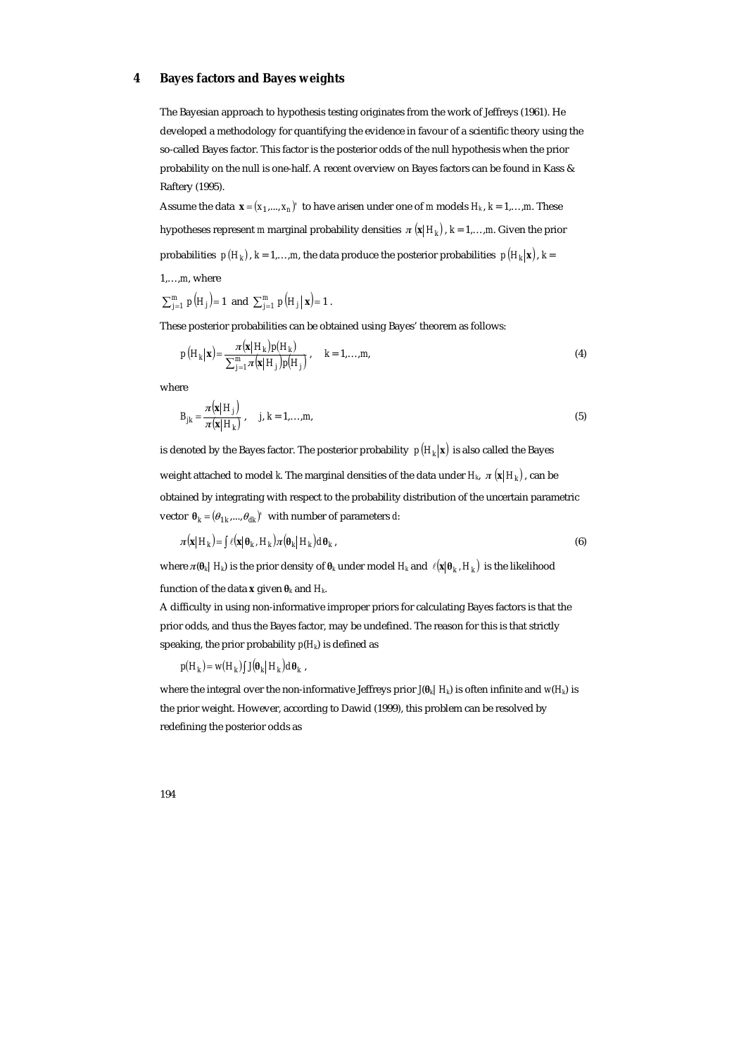## **4 Bayes factors and Bayes weights**

The Bayesian approach to hypothesis testing originates from the work of Jeffreys (1961). He developed a methodology for quantifying the evidence in favour of a scientific theory using the so-called Bayes factor. This factor is the posterior odds of the null hypothesis when the prior probability on the null is one-half. A recent overview on Bayes factors can be found in Kass & Raftery (1995).

Assume the data  $\mathbf{x} = (x_1, ..., x_n)'$  to have arisen under one of *m* models  $H_k$ ,  $k = 1, ..., m$ . These hypotheses represent *m* marginal probability densities  $\pi(\mathbf{x} | H_k)$ ,  $k = 1, \ldots, m$ . Given the prior probabilities  $p(H_k)$ ,  $k = 1,...,m$ , the data produce the posterior probabilities  $p(H_k|\mathbf{x})$ ,  $k =$ 

1,…,*m*, where

$$
\sum_{j=1}^{m} p(H_j) = 1
$$
 and  $\sum_{j=1}^{m} p(H_j | \mathbf{x}) = 1$ .

These posterior probabilities can be obtained using Bayes' theorem as follows:

$$
p\left(H_k|\mathbf{x}\right) = \frac{\pi(\mathbf{x}|H_k)p(H_k)}{\sum_{j=1}^m \pi(\mathbf{x}|H_j)p(H_j)}, \quad k = 1,...,m,
$$
\n(4)

where

$$
B_{jk} = \frac{\pi(\mathbf{x}|H_j)}{\pi(\mathbf{x}|H_k)}, \quad j, k = 1,...,m,
$$
\n<sup>(5)</sup>

is denoted by the Bayes factor. The posterior probability  $p(H_k|\mathbf{x})$  is also called the Bayes weight attached to model *k*. The marginal densities of the data under  $H_k$ ,  $\pi(\mathbf{x} | H_k)$ , can be obtained by integrating with respect to the probability distribution of the uncertain parametric vector  $\theta_k = (\theta_{1k}, ..., \theta_{dk})'$  with number of parameters *d*:

$$
\pi(\mathbf{x}|H_k) = \int \ell(\mathbf{x}|\theta_k, H_k) \pi(\theta_k|H_k) d\theta_k, \tag{6}
$$

where  $\pi(\theta_k | H_k)$  is the prior density of  $\theta_k$  under model  $H_k$  and  $\ell(\mathbf{x} | \theta_k, H_k)$  is the likelihood

function of the data **x** given  $\theta_k$  and  $H_k$ .

A difficulty in using non-informative improper priors for calculating Bayes factors is that the prior odds, and thus the Bayes factor, may be undefined. The reason for this is that strictly speaking, the prior probability  $p(H_k)$  is defined as

 $p(H_k) = w(H_k) \int \int \int \theta_k |H_k| d\theta_k$ 

where the integral over the non-informative Jeffreys prior  $J(\theta_k | H_k)$  is often infinite and  $w(H_k)$  is the prior weight. However, according to Dawid (1999), this problem can be resolved by redefining the posterior odds as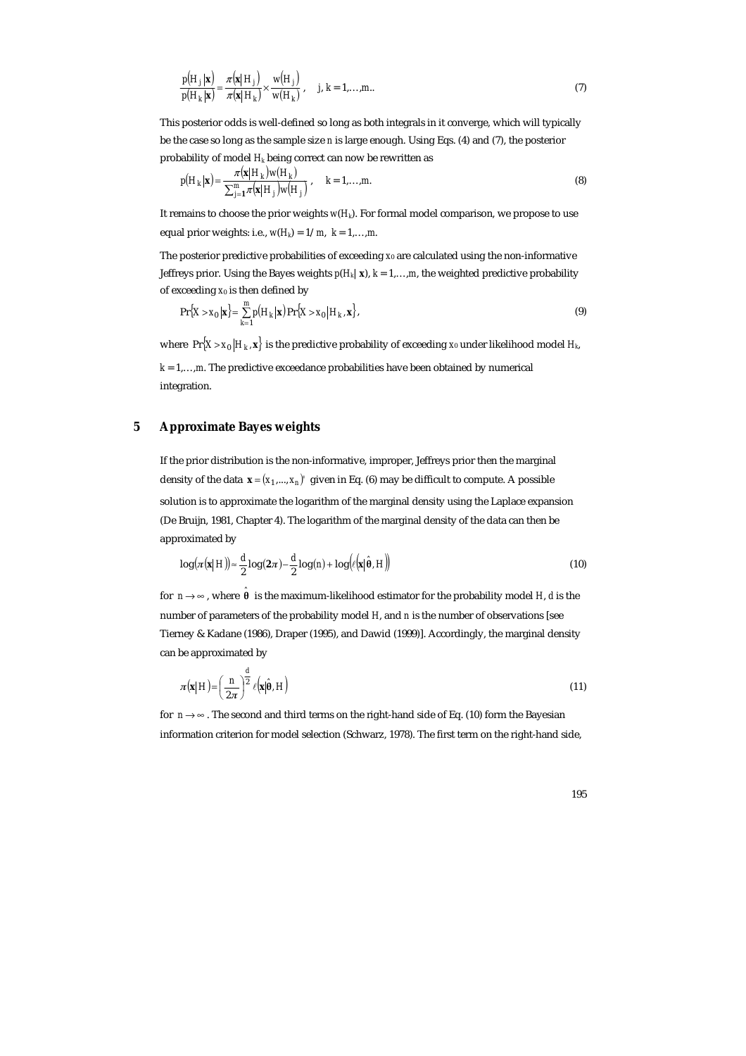$$
\frac{p(H_j|\mathbf{x})}{p(H_k|\mathbf{x})} = \frac{\pi(\mathbf{x}|H_j)}{\pi(\mathbf{x}|H_k)} \times \frac{w(H_j)}{w(H_k)}, \quad j, k = 1,...,m.
$$
\n(7)

This posterior odds is well-defined so long as both integrals in it converge, which will typically be the case so long as the sample size *n* is large enough. Using Eqs. (4) and (7), the posterior probability of model *Hk* being correct can now be rewritten as

$$
p(H_k|\mathbf{x}) = \frac{\pi(\mathbf{x}|H_k)w(H_k)}{\sum_{j=1}^m \pi(\mathbf{x}|H_j)w(H_j)}, \quad k = 1,...,m.
$$
\n(8)

It remains to choose the prior weights *w*(*Hk*). For formal model comparison, we propose to use equal prior weights: i.e.,  $w(H_k) = 1/m$ ,  $k = 1,...,m$ .

The posterior predictive probabilities of exceeding *x*0 are calculated using the non-informative Jeffreys prior. Using the Bayes weights  $p(H_k|\mathbf{x})$ ,  $k = 1,...,m$ , the weighted predictive probability of exceeding *x*0 is then defined by

$$
\Pr\{X > x_0 \mid \mathbf{x}\} = \sum_{k=1}^{m} p(H_k \mid \mathbf{x}) \Pr\{X > x_0 \mid H_k, \mathbf{x}\},\tag{9}
$$

where  $Pr{X > x_0 | H_k, x}$  is the predictive probability of exceeding *x*<sub>0</sub> under likelihood model *H<sub>k</sub>*,

 $k = 1,...,m$ . The predictive exceedance probabilities have been obtained by numerical integration.

## **5 Approximate Bayes weights**

If the prior distribution is the non-informative, improper, Jeffreys prior then the marginal density of the data  $\mathbf{x} = (x_1, ..., x_n)$ ' given in Eq. (6) may be difficult to compute. A possible solution is to approximate the logarithm of the marginal density using the Laplace expansion (De Bruijn, 1981, Chapter 4). The logarithm of the marginal density of the data can then be approximated by

$$
\log(\pi(\mathbf{x}|H)) \approx \frac{d}{2}\log(2\pi) - \frac{d}{2}\log(n) + \log(\ell(\mathbf{x}|\hat{\theta}, H))
$$
\n(10)

for  $n \rightarrow \infty$  , where  $\hat{\theta}$  is the maximum-likelihood estimator for the probability model *H*, *d* is the number of parameters of the probability model *H*, and *n* is the number of observations [see Tierney & Kadane (1986), Draper (1995), and Dawid (1999)]. Accordingly, the marginal density can be approximated by

$$
\pi(\mathbf{x}|H) = \left(\frac{n}{2\pi}\right)^{\frac{d}{2}} \ell(\mathbf{x}|\hat{\theta}, H)
$$
\n(11)

for  $n \rightarrow \infty$ . The second and third terms on the right-hand side of Eq. (10) form the Bayesian information criterion for model selection (Schwarz, 1978). The first term on the right-hand side,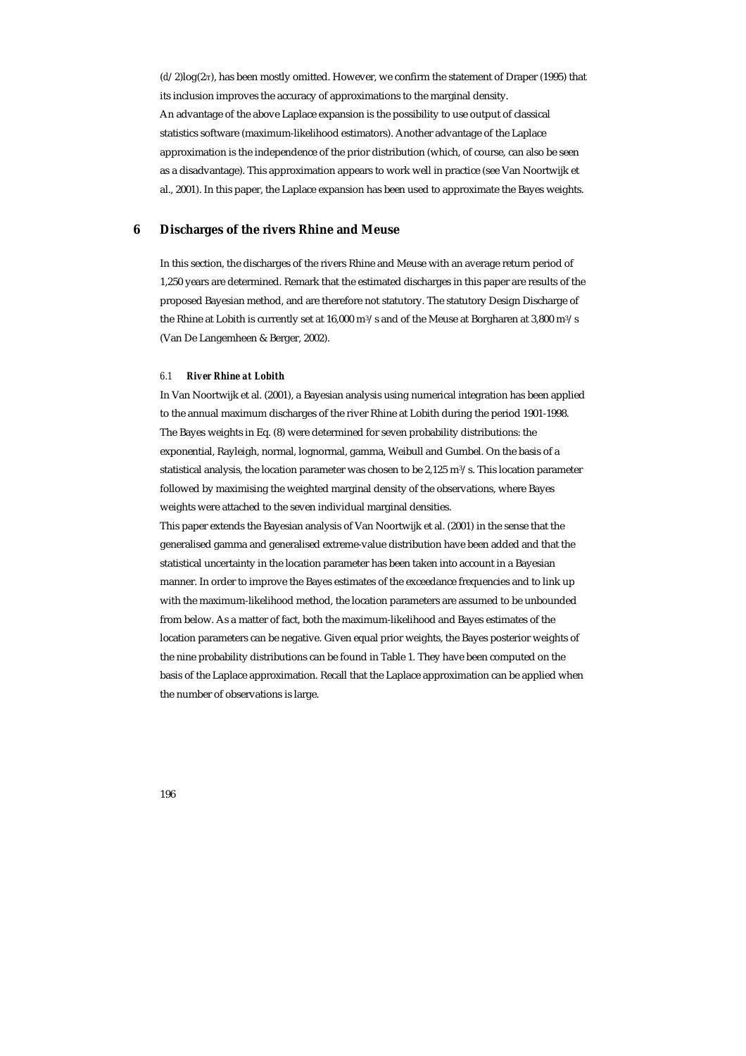(*d*/2)log(2*π*), has been mostly omitted. However, we confirm the statement of Draper (1995) that its inclusion improves the accuracy of approximations to the marginal density. An advantage of the above Laplace expansion is the possibility to use output of classical statistics software (maximum-likelihood estimators). Another advantage of the Laplace approximation is the independence of the prior distribution (which, of course, can also be seen as a disadvantage). This approximation appears to work well in practice (see Van Noortwijk et al., 2001). In this paper, the Laplace expansion has been used to approximate the Bayes weights.

# **6 Discharges of the rivers Rhine and Meuse**

In this section, the discharges of the rivers Rhine and Meuse with an average return period of 1,250 years are determined. Remark that the estimated discharges in this paper are results of the proposed Bayesian method, and are therefore not statutory. The statutory Design Discharge of the Rhine at Lobith is currently set at 16,000 m<sup>3</sup>/s and of the Meuse at Borgharen at 3,800 m<sup>3</sup>/s (Van De Langemheen & Berger, 2002).

#### *6.1 River Rhine at Lobith*

In Van Noortwijk et al. (2001), a Bayesian analysis using numerical integration has been applied to the annual maximum discharges of the river Rhine at Lobith during the period 1901-1998. The Bayes weights in Eq. (8) were determined for seven probability distributions: the exponential, Rayleigh, normal, lognormal, gamma, Weibull and Gumbel. On the basis of a statistical analysis, the location parameter was chosen to be 2,125 m $3$ /s. This location parameter followed by maximising the weighted marginal density of the observations, where Bayes weights were attached to the seven individual marginal densities.

This paper extends the Bayesian analysis of Van Noortwijk et al. (2001) in the sense that the generalised gamma and generalised extreme-value distribution have been added and that the statistical uncertainty in the location parameter has been taken into account in a Bayesian manner. In order to improve the Bayes estimates of the exceedance frequencies and to link up with the maximum-likelihood method, the location parameters are assumed to be unbounded from below. As a matter of fact, both the maximum-likelihood and Bayes estimates of the location parameters can be negative. Given equal prior weights, the Bayes posterior weights of the nine probability distributions can be found in Table 1. They have been computed on the basis of the Laplace approximation. Recall that the Laplace approximation can be applied when the number of observations is large.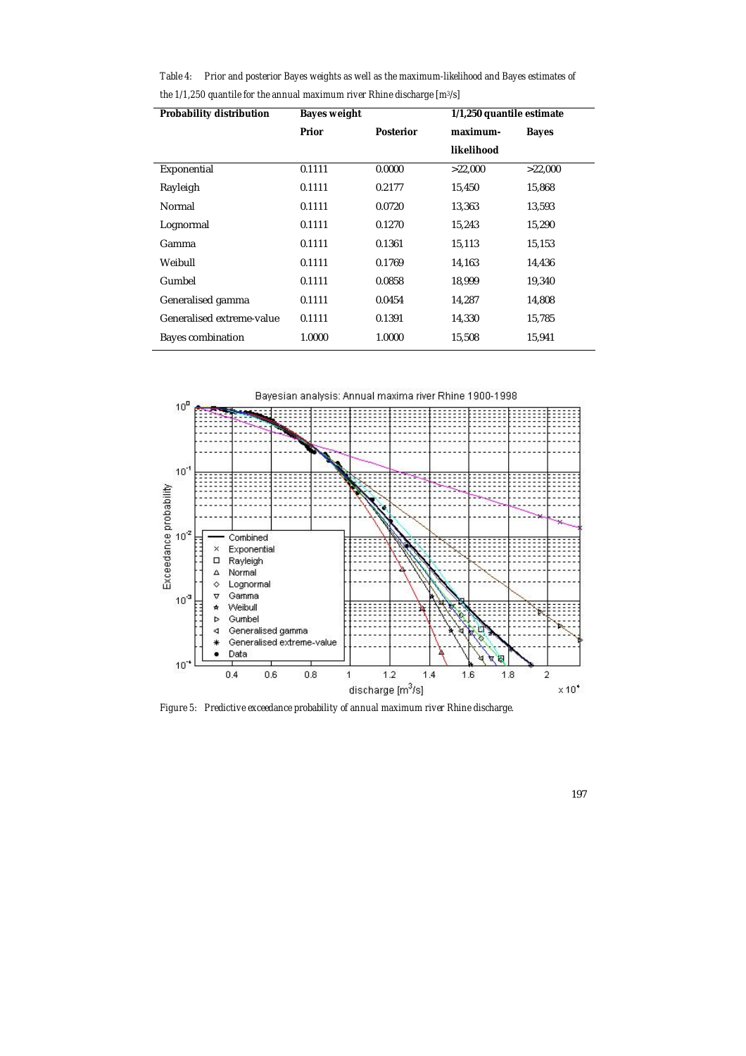*Table 4: Prior and posterior Bayes weights as well as the maximum-likelihood and Bayes estimates of the 1/1,250 quantile for the annual maximum river Rhine discharge [m3/s]* 

| <b>Probability distribution</b> | <b>Bayes weight</b> |                  | 1/1,250 quantile estimate |              |
|---------------------------------|---------------------|------------------|---------------------------|--------------|
|                                 | Prior               | <b>Posterior</b> | maximum-                  | <b>Bayes</b> |
|                                 |                     |                  | likelihood                |              |
| Exponential                     | 0.1111              | 0.0000           | >22,000                   | >22,000      |
| Rayleigh                        | 0.1111              | 0.2177           | 15,450                    | 15,868       |
| Normal                          | 0.1111              | 0.0720           | 13,363                    | 13,593       |
| Lognormal                       | 0.1111              | 0.1270           | 15,243                    | 15,290       |
| Gamma                           | 0.1111              | 0.1361           | 15,113                    | 15,153       |
| Weibull                         | 0.1111              | 0.1769           | 14,163                    | 14,436       |
| Gumbel                          | 0.1111              | 0.0858           | 18,999                    | 19,340       |
| Generalised gamma               | 0.1111              | 0.0454           | 14,287                    | 14,808       |
| Generalised extreme-value       | 0.1111              | 0.1391           | 14,330                    | 15,785       |
| <b>Bayes combination</b>        | 1.0000              | 1.0000           | 15,508                    | 15,941       |



*Figure 5: Predictive exceedance probability of annual maximum river Rhine discharge.*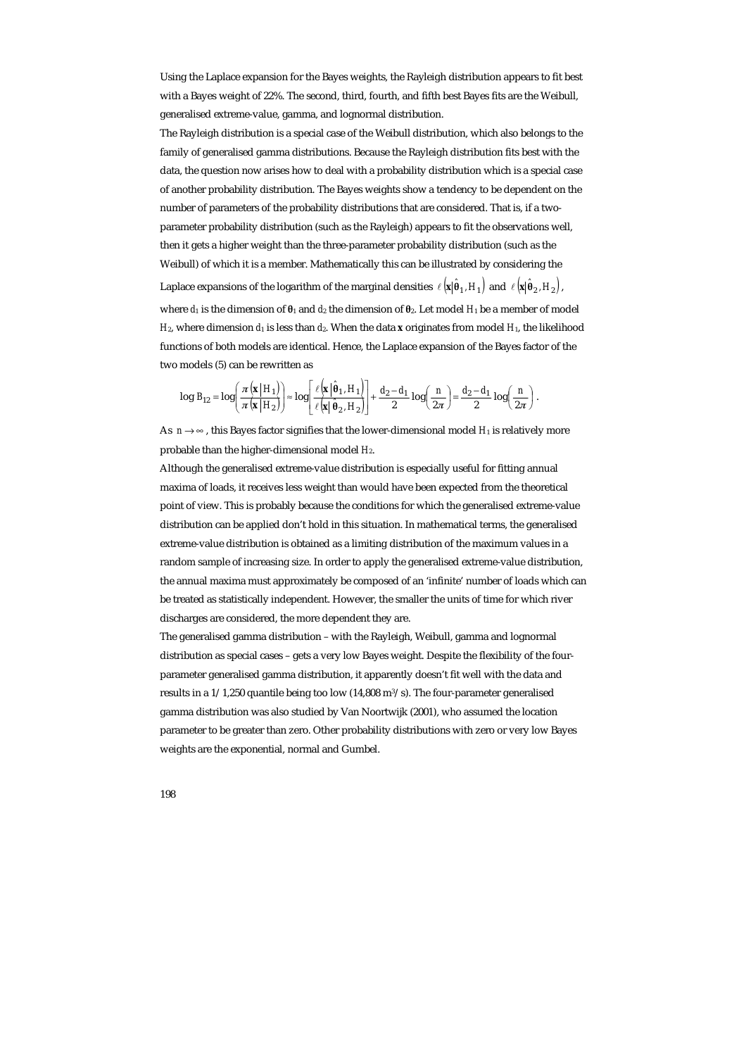Using the Laplace expansion for the Bayes weights, the Rayleigh distribution appears to fit best with a Bayes weight of 22%. The second, third, fourth, and fifth best Bayes fits are the Weibull, generalised extreme-value, gamma, and lognormal distribution.

The Rayleigh distribution is a special case of the Weibull distribution, which also belongs to the family of generalised gamma distributions. Because the Rayleigh distribution fits best with the data, the question now arises how to deal with a probability distribution which is a special case of another probability distribution. The Bayes weights show a tendency to be dependent on the number of parameters of the probability distributions that are considered. That is, if a twoparameter probability distribution (such as the Rayleigh) appears to fit the observations well, then it gets a higher weight than the three-parameter probability distribution (such as the Weibull) of which it is a member. Mathematically this can be illustrated by considering the Laplace expansions of the logarithm of the marginal densities  $\ell(\mathbf{x}|\hat{\theta}_1, H_1)$  and  $\ell(\mathbf{x}|\hat{\theta}_2, H_2)$ ,

where *d*1 is the dimension of **θ**1 and *d*2 the dimension of **θ**2. Let model *H*1 be a member of model *H*<sub>2</sub>, where dimension *d*<sub>1</sub> is less than *d*<sub>2</sub>. When the data **x** originates from model *H*<sub>1</sub>, the likelihood functions of both models are identical. Hence, the Laplace expansion of the Bayes factor of the two models (5) can be rewritten as

$$
\log B_{12} = \log \left( \frac{\pi (\mathbf{x} | H_1)}{\pi (\mathbf{x} | H_2)} \right) \approx \log \left[ \frac{\ell (\mathbf{x} | \hat{\theta}_1, H_1)}{\ell (\mathbf{x} | \hat{\theta}_2, H_2)} \right] + \frac{d_2 - d_1}{2} \log \left( \frac{n}{2\pi} \right) = \frac{d_2 - d_1}{2} \log \left( \frac{n}{2\pi} \right).
$$

As  $n \rightarrow \infty$ , this Bayes factor signifies that the lower-dimensional model  $H_1$  is relatively more probable than the higher-dimensional model *H*2.

Although the generalised extreme-value distribution is especially useful for fitting annual maxima of loads, it receives less weight than would have been expected from the theoretical point of view. This is probably because the conditions for which the generalised extreme-value distribution can be applied don't hold in this situation. In mathematical terms, the generalised extreme-value distribution is obtained as a limiting distribution of the maximum values in a random sample of increasing size. In order to apply the generalised extreme-value distribution, the annual maxima must approximately be composed of an 'infinite' number of loads which can be treated as statistically independent. However, the smaller the units of time for which river discharges are considered, the more dependent they are.

The generalised gamma distribution – with the Rayleigh, Weibull, gamma and lognormal distribution as special cases – gets a very low Bayes weight. Despite the flexibility of the fourparameter generalised gamma distribution, it apparently doesn't fit well with the data and results in a 1/1,250 quantile being too low (14,808 m3/s). The four-parameter generalised gamma distribution was also studied by Van Noortwijk (2001), who assumed the location parameter to be greater than zero. Other probability distributions with zero or very low Bayes weights are the exponential, normal and Gumbel.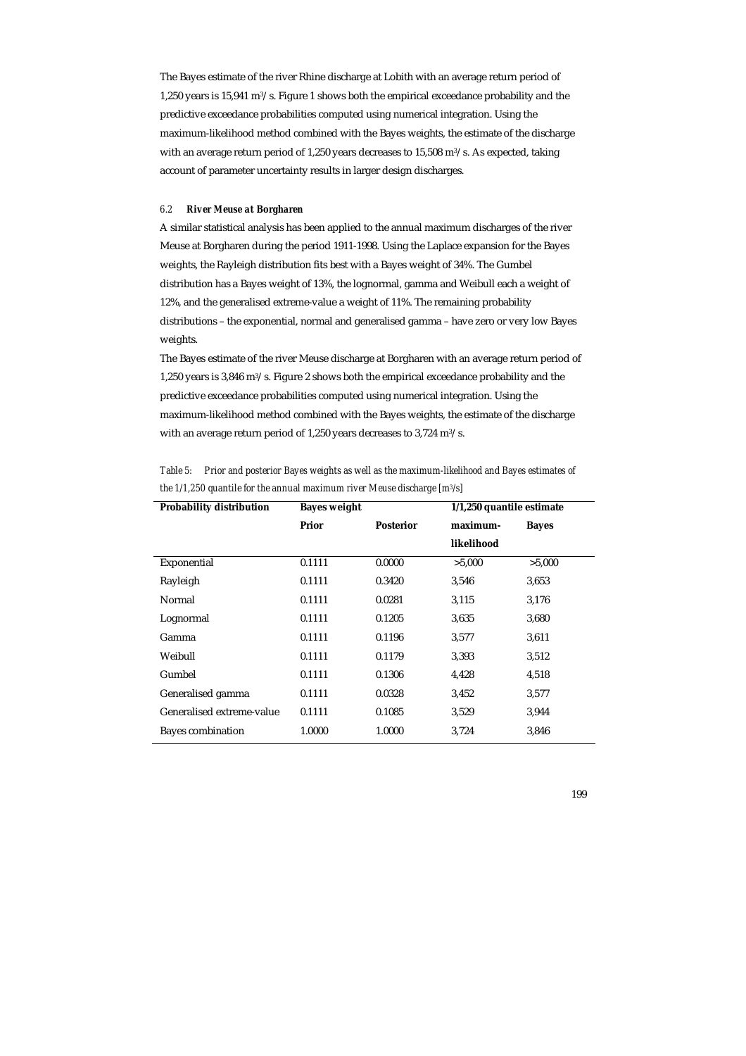The Bayes estimate of the river Rhine discharge at Lobith with an average return period of 1,250 years is 15,941 m3/s. Figure 1 shows both the empirical exceedance probability and the predictive exceedance probabilities computed using numerical integration. Using the maximum-likelihood method combined with the Bayes weights, the estimate of the discharge with an average return period of 1,250 years decreases to 15,508 m3/s. As expected, taking account of parameter uncertainty results in larger design discharges.

#### *6.2 River Meuse at Borgharen*

A similar statistical analysis has been applied to the annual maximum discharges of the river Meuse at Borgharen during the period 1911-1998. Using the Laplace expansion for the Bayes weights, the Rayleigh distribution fits best with a Bayes weight of 34%. The Gumbel distribution has a Bayes weight of 13%, the lognormal, gamma and Weibull each a weight of 12%, and the generalised extreme-value a weight of 11%. The remaining probability distributions – the exponential, normal and generalised gamma – have zero or very low Bayes weights.

The Bayes estimate of the river Meuse discharge at Borgharen with an average return period of 1,250 years is 3,846 m3/s. Figure 2 shows both the empirical exceedance probability and the predictive exceedance probabilities computed using numerical integration. Using the maximum-likelihood method combined with the Bayes weights, the estimate of the discharge with an average return period of 1,250 years decreases to 3,724 m3/s.

| <b>Probability distribution</b> | <b>Bayes weight</b> |                  | 1/1,250 quantile estimate |              |
|---------------------------------|---------------------|------------------|---------------------------|--------------|
|                                 | Prior               | <b>Posterior</b> | maximum-                  | <b>Bayes</b> |
|                                 |                     |                  | likelihood                |              |
| Exponential                     | 0.1111              | 0.0000           | >5,000                    | >5,000       |
| Rayleigh                        | 0.1111              | 0.3420           | 3,546                     | 3,653        |
| Normal                          | 0.1111              | 0.0281           | 3,115                     | 3,176        |
| Lognormal                       | 0.1111              | 0.1205           | 3,635                     | 3,680        |
| Gamma                           | 0.1111              | 0.1196           | 3,577                     | 3,611        |
| Weibull                         | 0.1111              | 0.1179           | 3,393                     | 3,512        |
| Gumbel                          | 0.1111              | 0.1306           | 4,428                     | 4,518        |
| Generalised gamma               | 0.1111              | 0.0328           | 3,452                     | 3,577        |
| Generalised extreme-value       | 0.1111              | 0.1085           | 3,529                     | 3,944        |
| <b>Bayes combination</b>        | 1.0000              | 1.0000           | 3,724                     | 3,846        |

*Table 5: Prior and posterior Bayes weights as well as the maximum-likelihood and Bayes estimates of the 1/1,250 quantile for the annual maximum river Meuse discharge [m3/s]*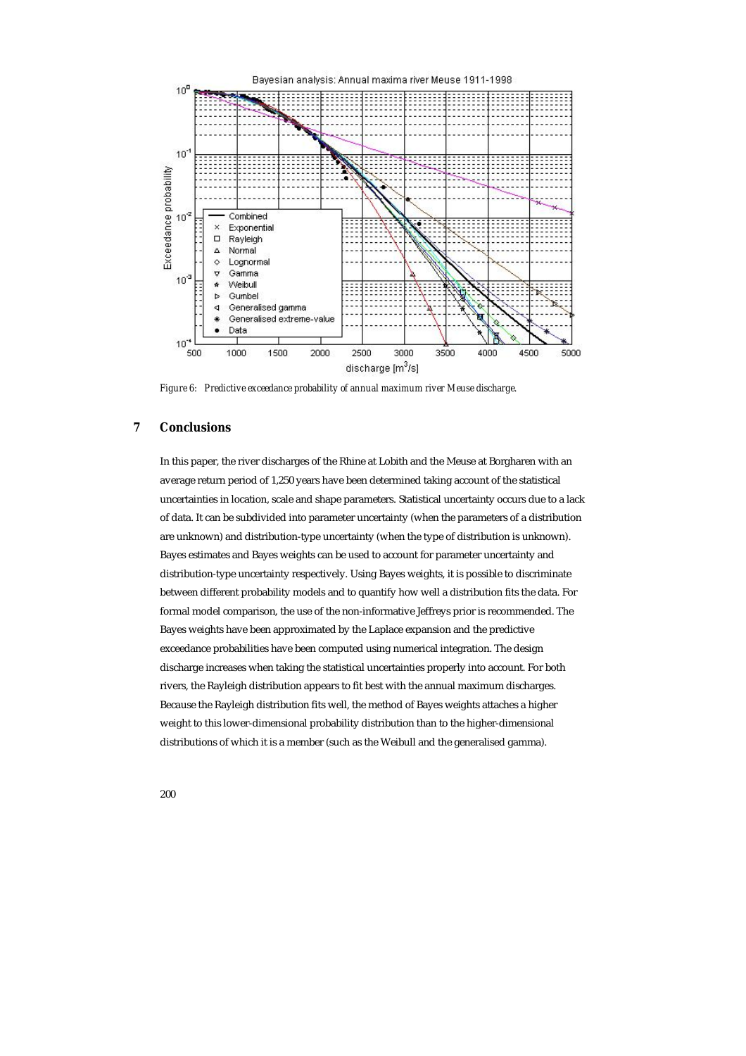

*Figure 6: Predictive exceedance probability of annual maximum river Meuse discharge.* 

# **7 Conclusions**

In this paper, the river discharges of the Rhine at Lobith and the Meuse at Borgharen with an average return period of 1,250 years have been determined taking account of the statistical uncertainties in location, scale and shape parameters. Statistical uncertainty occurs due to a lack of data. It can be subdivided into parameter uncertainty (when the parameters of a distribution are unknown) and distribution-type uncertainty (when the type of distribution is unknown). Bayes estimates and Bayes weights can be used to account for parameter uncertainty and distribution-type uncertainty respectively. Using Bayes weights, it is possible to discriminate between different probability models and to quantify how well a distribution fits the data. For formal model comparison, the use of the non-informative Jeffreys prior is recommended. The Bayes weights have been approximated by the Laplace expansion and the predictive exceedance probabilities have been computed using numerical integration. The design discharge increases when taking the statistical uncertainties properly into account. For both rivers, the Rayleigh distribution appears to fit best with the annual maximum discharges. Because the Rayleigh distribution fits well, the method of Bayes weights attaches a higher weight to this lower-dimensional probability distribution than to the higher-dimensional distributions of which it is a member (such as the Weibull and the generalised gamma).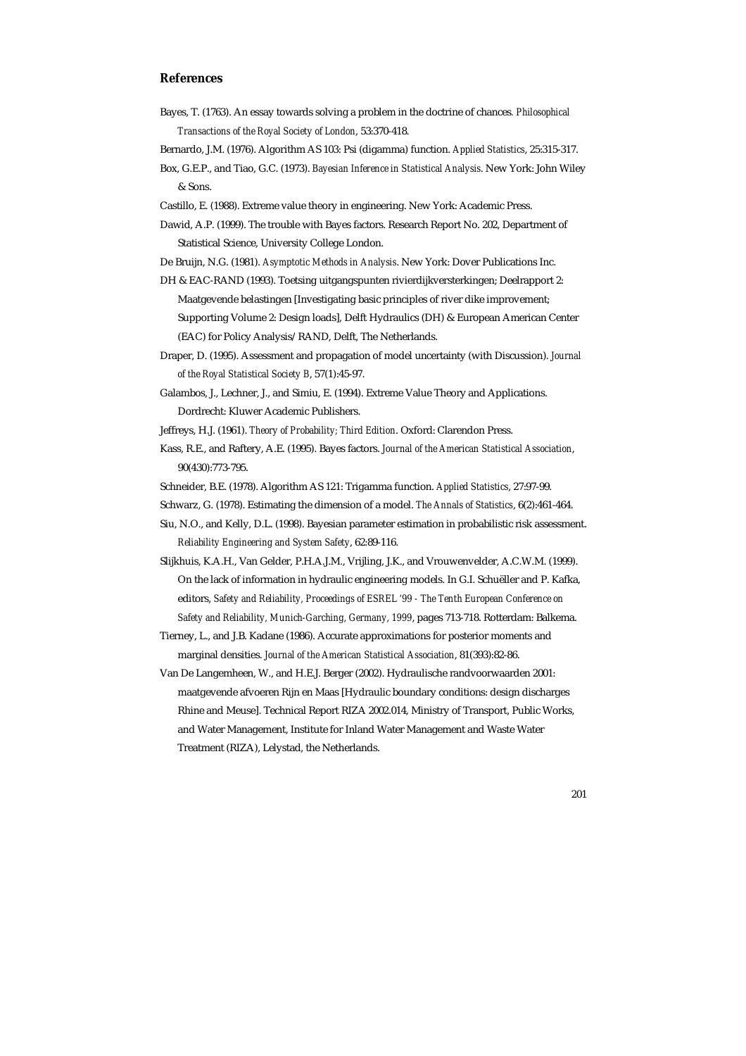## **References**

- Bayes, T. (1763). An essay towards solving a problem in the doctrine of chances*. Philosophical Transactions of the Royal Society of London*, 53:370-418.
- Bernardo, J.M. (1976). Algorithm AS 103: Psi (digamma) function. *Applied Statistics*, 25:315-317.
- Box, G.E.P., and Tiao, G.C. (1973). *Bayesian Inference in Statistical Analysis*. New York: John Wiley & Sons.
- Castillo, E. (1988). Extreme value theory in engineering. New York: Academic Press.

Dawid, A.P. (1999). The trouble with Bayes factors. Research Report No. 202, Department of Statistical Science, University College London.

- De Bruijn, N.G. (1981). *Asymptotic Methods in Analysis*. New York: Dover Publications Inc.
- DH & EAC-RAND (1993). Toetsing uitgangspunten rivierdijkversterkingen; Deelrapport 2:
	- Maatgevende belastingen [Investigating basic principles of river dike improvement;
	- Supporting Volume 2: Design loads], Delft Hydraulics (DH) & European American Center (EAC) for Policy Analysis/RAND, Delft, The Netherlands.
- Draper, D. (1995). Assessment and propagation of model uncertainty (with Discussion). *Journal of the Royal Statistical Society B*, 57(1):45-97.
- Galambos, J., Lechner, J., and Simiu, E. (1994). Extreme Value Theory and Applications. Dordrecht: Kluwer Academic Publishers.
- Jeffreys, H.J. (1961). *Theory of Probability; Third Edition*. Oxford: Clarendon Press.
- Kass, R.E., and Raftery, A.E. (1995). Bayes factors. *Journal of the American Statistical Association*, 90(430):773-795.

Schneider, B.E. (1978). Algorithm AS 121: Trigamma function. *Applied Statistics*, 27:97-99.

- Schwarz, G. (1978). Estimating the dimension of a model. *The Annals of Statistics*, 6(2):461-464.
- Siu, N.O., and Kelly, D.L. (1998). Bayesian parameter estimation in probabilistic risk assessment. *Reliability Engineering and System Safety*, 62:89-116.
- Slijkhuis, K.A.H., Van Gelder, P.H.A.J.M., Vrijling, J.K., and Vrouwenvelder, A.C.W.M. (1999). On the lack of information in hydraulic engineering models. In G.I. Schuëller and P. Kafka, editors, *Safety and Reliability, Proceedings of ESREL '99 - The Tenth European Conference on Safety and Reliability, Munich-Garching, Germany, 1999*, pages 713-718. Rotterdam: Balkema.
- Tierney, L., and J.B. Kadane (1986). Accurate approximations for posterior moments and marginal densities. *Journal of the American Statistical Association*, 81(393):82-86.
- Van De Langemheen, W., and H.E.J. Berger (2002). Hydraulische randvoorwaarden 2001: maatgevende afvoeren Rijn en Maas [Hydraulic boundary conditions: design discharges Rhine and Meuse]. Technical Report RIZA 2002.014, Ministry of Transport, Public Works, and Water Management, Institute for Inland Water Management and Waste Water Treatment (RIZA), Lelystad, the Netherlands.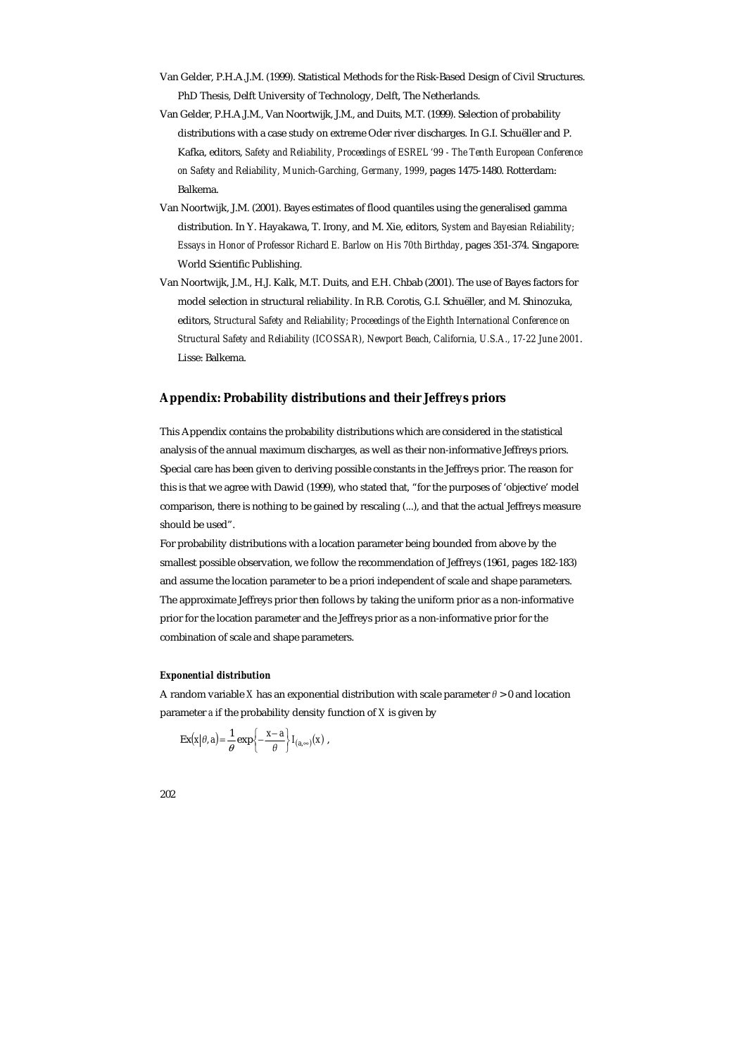- Van Gelder, P.H.A.J.M. (1999). Statistical Methods for the Risk-Based Design of Civil Structures. PhD Thesis, Delft University of Technology, Delft, The Netherlands.
- Van Gelder, P.H.A.J.M., Van Noortwijk, J.M., and Duits, M.T. (1999). Selection of probability distributions with a case study on extreme Oder river discharges. In G.I. Schuëller and P. Kafka, editors, *Safety and Reliability, Proceedings of ESREL '99 - The Tenth European Conference on Safety and Reliability, Munich-Garching, Germany, 1999*, pages 1475-1480. Rotterdam: Balkema.
- Van Noortwijk, J.M. (2001). Bayes estimates of flood quantiles using the generalised gamma distribution. In Y. Hayakawa, T. Irony, and M. Xie, editors, *System and Bayesian Reliability; Essays in Honor of Professor Richard E. Barlow on His 70th Birthday*, pages 351-374. Singapore: World Scientific Publishing.
- Van Noortwijk, J.M., H.J. Kalk, M.T. Duits, and E.H. Chbab (2001). The use of Bayes factors for model selection in structural reliability. In R.B. Corotis, G.I. Schuëller, and M. Shinozuka, editors, *Structural Safety and Reliability; Proceedings of the Eighth International Conference on Structural Safety and Reliability (ICOSSAR), Newport Beach, California, U.S.A., 17-22 June 2001*. Lisse: Balkema.

## **Appendix: Probability distributions and their Jeffreys priors**

This Appendix contains the probability distributions which are considered in the statistical analysis of the annual maximum discharges, as well as their non-informative Jeffreys priors. Special care has been given to deriving possible constants in the Jeffreys prior. The reason for this is that we agree with Dawid (1999), who stated that, "for the purposes of 'objective' model comparison, there is nothing to be gained by rescaling (...), and that the actual Jeffreys measure should be used".

For probability distributions with a location parameter being bounded from above by the smallest possible observation, we follow the recommendation of Jeffreys (1961, pages 182-183) and assume the location parameter to be a priori independent of scale and shape parameters. The approximate Jeffreys prior then follows by taking the uniform prior as a non-informative prior for the location parameter and the Jeffreys prior as a non-informative prior for the combination of scale and shape parameters.

#### *Exponential distribution*

A random variable *X* has an exponential distribution with scale parameter *θ* > 0 and location parameter *a* if the probability density function of *X* is given by

$$
\operatorname{Ex}(\mathbf{x}|\theta, a) = \frac{1}{\theta} \exp\left\{-\frac{\mathbf{x} - a}{\theta}\right\} I_{(a,\infty)}(\mathbf{x}),
$$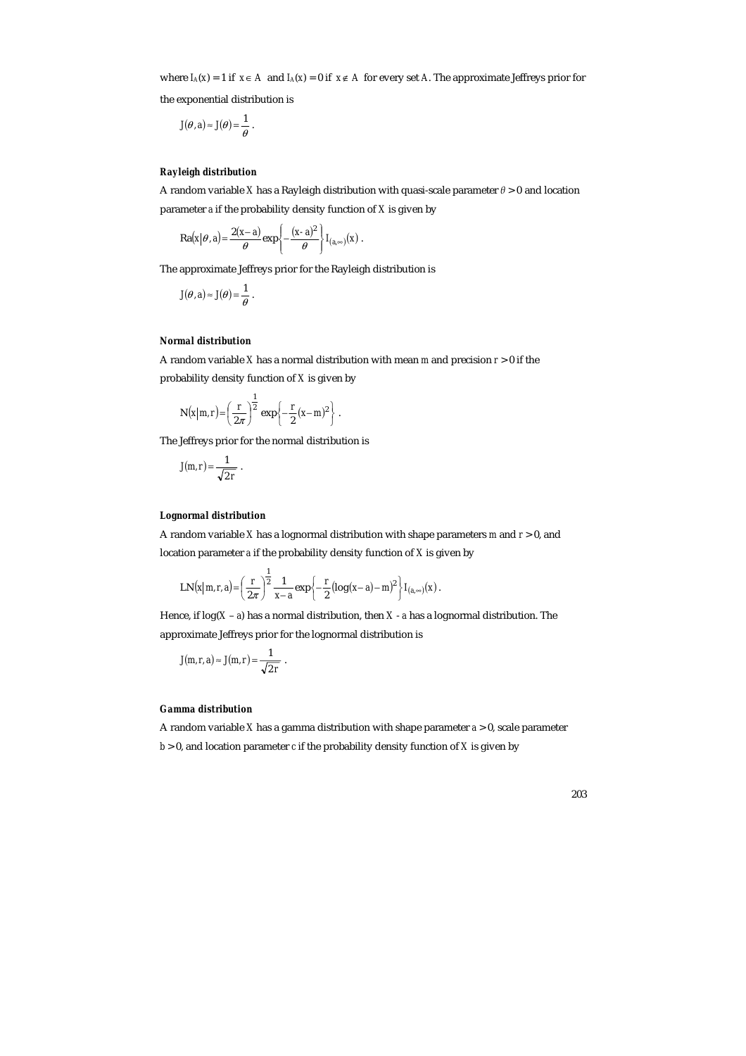where  $I_A(x) = 1$  if  $x \in A$  and  $I_A(x) = 0$  if  $x \notin A$  for every set *A*. The approximate Jeffreys prior for

the exponential distribution is

$$
J(\theta, a) \approx J(\theta) = \frac{1}{\theta}.
$$

# *Rayleigh distribution*

A random variable *X* has a Rayleigh distribution with quasi-scale parameter *θ* > 0 and location parameter *a* if the probability density function of *X* is given by

$$
\text{Ra}(x|\theta, a) = \frac{2(x-a)}{\theta} \exp\left\{-\frac{(x-a)^2}{\theta}\right\} I_{(a,\infty)}(x) \, .
$$

The approximate Jeffreys prior for the Rayleigh distribution is

$$
J(\theta, a) \approx J(\theta) = \frac{1}{\theta}.
$$

#### *Normal distribution*

A random variable *X* has a normal distribution with mean *m* and precision *r* > 0 if the probability density function of *X* is given by

$$
N(x|m,r) = \left(\frac{r}{2\pi}\right)^{\frac{1}{2}} exp\left\{-\frac{r}{2}(x-m)^2\right\}.
$$

The Jeffreys prior for the normal distribution is

$$
J(m,r) = \frac{1}{\sqrt{2 r}}.
$$

#### *Lognormal distribution*

A random variable *X* has a lognormal distribution with shape parameters *m* and *r* > 0, and location parameter *a* if the probability density function of *X* is given by

LN
$$
(x|m,r,a)
$$
 =  $\left(\frac{r}{2\pi}\right)^{\frac{1}{2}} \frac{1}{x-a} exp\left\{-\frac{r}{2} (log(x-a)-m)^2\right\} I_{(a,\infty)}(x)$ .

Hence, if log(*X* – *a*) has a normal distribution, then *X* - *a* has a lognormal distribution. The approximate Jeffreys prior for the lognormal distribution is

$$
J(m,r,a) \approx J(m,r) = \frac{1}{\sqrt{2 r}}.
$$

# *Gamma distribution*

A random variable *X* has a gamma distribution with shape parameter *a* > 0, scale parameter  $b > 0$ , and location parameter *c* if the probability density function of *X* is given by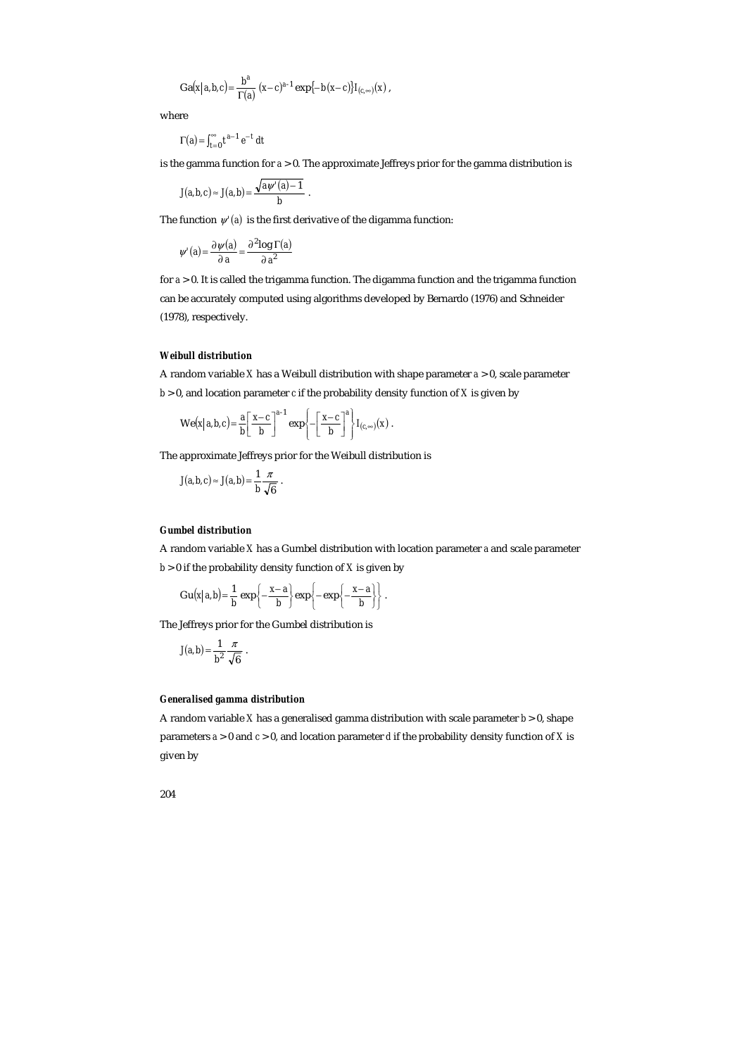$$
Ga(x|a,b,c) = \frac{b^a}{\Gamma(a)} (x-c)^{a-1} \exp\{-b(x-c)\} I_{(c,\infty)}(x),
$$

where

$$
\Gamma(a) = \int_{t=0}^{\infty} t^{a-1} e^{-t} dt
$$

is the gamma function for *a* > 0. The approximate Jeffreys prior for the gamma distribution is

$$
J(a,b,c) \approx J(a,b) = \frac{\sqrt{a\psi'(a)-1}}{b}.
$$

The function  $\psi'(a)$  is the first derivative of the digamma function:

$$
\psi'(a) = \frac{\partial \psi(a)}{\partial a} = \frac{\partial^2 \log \Gamma(a)}{\partial a^2}
$$

for *a* > 0. It is called the trigamma function. The digamma function and the trigamma function can be accurately computed using algorithms developed by Bernardo (1976) and Schneider (1978), respectively.

#### *Weibull distribution*

A random variable *X* has a Weibull distribution with shape parameter *a* > 0, scale parameter  $b > 0$ , and location parameter *c* if the probability density function of *X* is given by

$$
\mathrm{We}(x|a,b,c) = \frac{a}{b} \left[ \frac{x-c}{b} \right]^{a-1} \exp \left\{-\left[ \frac{x-c}{b} \right]^a \right\} I_{(c,\infty)}(x).
$$

The approximate Jeffreys prior for the Weibull distribution is

$$
J(a,b,c) \approx J(a,b) = \frac{1}{b} \frac{\pi}{\sqrt{6}}.
$$

#### *Gumbel distribution*

A random variable *X* has a Gumbel distribution with location parameter *a* and scale parameter

 $b > 0$  if the probability density function of *X* is given by

$$
Gu(x|a,b) = \frac{1}{b} \exp \left\{-\frac{x-a}{b}\right\} \exp \left\{-\exp \left\{-\frac{x-a}{b}\right\}\right\}.
$$

The Jeffreys prior for the Gumbel distribution is

$$
J(a,b)=\frac{1}{b^2}\frac{\pi}{\sqrt{6}}.
$$

#### *Generalised gamma distribution*

A random variable *X* has a generalised gamma distribution with scale parameter *b* > 0, shape parameters *a* > 0 and *c* > 0, and location parameter *d* if the probability density function of *X* is given by